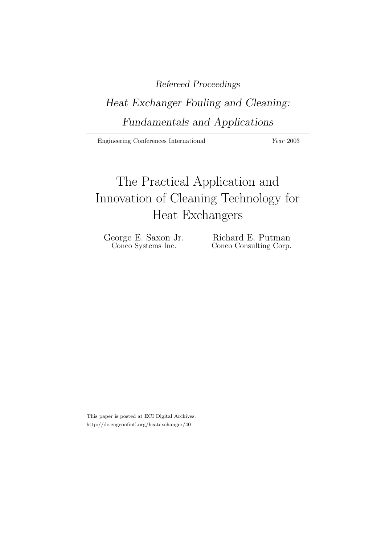### Refereed Proceedings

## Heat Exchanger Fouling and Cleaning: Fundamentals and Applications

Engineering Conferences International Year 2003

# The Practical Application and Innovation of Cleaning Technology for Heat Exchangers

George E. Saxon Jr. Richard E. Putman<br>Conco Systems Inc. Conco Consulting Corp. Conco Consulting Corp.

This paper is posted at ECI Digital Archives. http://dc.engconfintl.org/heatexchanger/40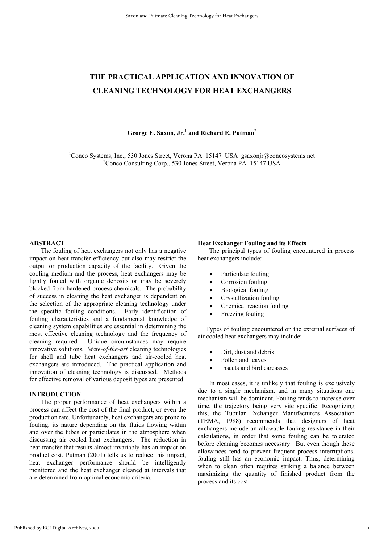### **THE PRACTICAL APPLICATION AND INNOVATION OF CLEANING TECHNOLOGY FOR HEAT EXCHANGERS**

**George E. Saxon, Jr.**<sup>1</sup>  **and Richard E. Putman**<sup>2</sup>

<sup>1</sup>Conco Systems, Inc., 530 Jones Street, Verona PA 15147 USA gsaxonjr@concosystems.net 2 Conco Consulting Corp., 530 Jones Street, Verona PA 15147 USA

#### **ABSTRACT**

The fouling of heat exchangers not only has a negative impact on heat transfer efficiency but also may restrict the output or production capacity of the facility. Given the cooling medium and the process, heat exchangers may be lightly fouled with organic deposits or may be severely blocked from hardened process chemicals. The probability of success in cleaning the heat exchanger is dependent on the selection of the appropriate cleaning technology under the specific fouling conditions. Early identification of fouling characteristics and a fundamental knowledge of cleaning system capabilities are essential in determining the most effective cleaning technology and the frequency of cleaning required. Unique circumstances may require innovative solutions. *State-of-the-art* cleaning technologies for shell and tube heat exchangers and air-cooled heat exchangers are introduced. The practical application and innovation of cleaning technology is discussed. Methods for effective removal of various deposit types are presented.

#### **INTRODUCTION**

The proper performance of heat exchangers within a process can affect the cost of the final product, or even the production rate. Unfortunately, heat exchangers are prone to fouling, its nature depending on the fluids flowing within and over the tubes or particulates in the atmosphere when discussing air cooled heat exchangers. The reduction in heat transfer that results almost invariably has an impact on product cost. Putman (2001) tells us to reduce this impact, heat exchanger performance should be intelligently monitored and the heat exchanger cleaned at intervals that are determined from optimal economic criteria.

#### **Heat Exchanger Fouling and its Effects**

 The principal types of fouling encountered in process heat exchangers include:

- Particulate fouling
- Corrosion fouling
- Biological fouling
- Crystallization fouling
- Chemical reaction fouling
- Freezing fouling

 Types of fouling encountered on the external surfaces of air cooled heat exchangers may include:

- Dirt, dust and debris
- Pollen and leaves
- Insects and bird carcasses

 In most cases, it is unlikely that fouling is exclusively due to a single mechanism, and in many situations one mechanism will be dominant. Fouling tends to increase over time, the trajectory being very site specific. Recognizing this, the Tubular Exchanger Manufacturers Association (TEMA, 1988) recommends that designers of heat exchangers include an allowable fouling resistance in their calculations, in order that some fouling can be tolerated before cleaning becomes necessary. But even though these allowances tend to prevent frequent process interruptions, fouling still has an economic impact. Thus, determining when to clean often requires striking a balance between maximizing the quantity of finished product from the process and its cost.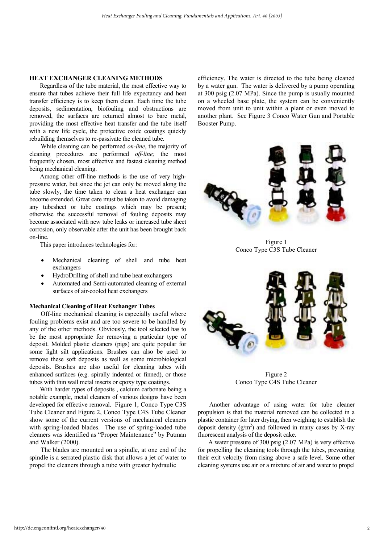#### **HEAT EXCHANGER CLEANING METHODS**

 Regardless of the tube material, the most effective way to ensure that tubes achieve their full life expectancy and heat transfer efficiency is to keep them clean. Each time the tube deposits, sedimentation, biofouling and obstructions are removed, the surfaces are returned almost to bare metal, providing the most effective heat transfer and the tube itself with a new life cycle, the protective oxide coatings quickly rebuilding themselves to re-passivate the cleaned tube.

 While cleaning can be performed *on-line*, the majority of cleaning procedures are performed *off-line;* the most frequently chosen, most effective and fastest cleaning method being mechanical cleaning.

 Among other off-line methods is the use of very highpressure water, but since the jet can only be moved along the tube slowly, the time taken to clean a heat exchanger can become extended. Great care must be taken to avoid damaging any tubesheet or tube coatings which may be present; otherwise the successful removal of fouling deposits may become associated with new tube leaks or increased tube sheet corrosion, only observable after the unit has been brought back on-line.

This paper introduces technologies for:

- Mechanical cleaning of shell and tube heat exchangers
- HydroDrilling of shell and tube heat exchangers
- Automated and Semi-automated cleaning of external surfaces of air-cooled heat exchangers

#### **Mechanical Cleaning of Heat Exchanger Tubes**

 Off-line mechanical cleaning is especially useful where fouling problems exist and are too severe to be handled by any of the other methods. Obviously, the tool selected has to be the most appropriate for removing a particular type of deposit. Molded plastic cleaners (pigs) are quite popular for some light silt applications. Brushes can also be used to remove these soft deposits as well as some microbiological deposits. Brushes are also useful for cleaning tubes with enhanced surfaces (e.g. spirally indented or finned), or those tubes with thin wall metal inserts or epoxy type coatings.

 With harder types of deposits , calcium carbonate being a notable example, metal cleaners of various designs have been developed for effective removal. Figure 1, Conco Type C3S Tube Cleaner and Figure 2, Conco Type C4S Tube Cleaner show some of the current versions of mechanical cleaners with spring-loaded blades. The use of spring-loaded tube cleaners was identified as "Proper Maintenance" by Putman and Walker (2000).

 The blades are mounted on a spindle, at one end of the spindle is a serrated plastic disk that allows a jet of water to propel the cleaners through a tube with greater hydraulic

efficiency. The water is directed to the tube being cleaned by a water gun. The water is delivered by a pump operating at 300 psig (2.07 MPa). Since the pump is usually mounted on a wheeled base plate, the system can be conveniently moved from unit to unit within a plant or even moved to another plant. See Figure 3 Conco Water Gun and Portable Booster Pump.



Figure 1 Conco Type C3S Tube Cleaner



Figure 2 Conco Type C4S Tube Cleaner

 Another advantage of using water for tube cleaner propulsion is that the material removed can be collected in a plastic container for later drying, then weighing to establish the deposit density  $(g/m^2)$  and followed in many cases by X-ray fluorescent analysis of the deposit cake.

 A water pressure of 300 psig (2.07 MPa) is very effective for propelling the cleaning tools through the tubes, preventing their exit velocity from rising above a safe level. Some other cleaning systems use air or a mixture of air and water to propel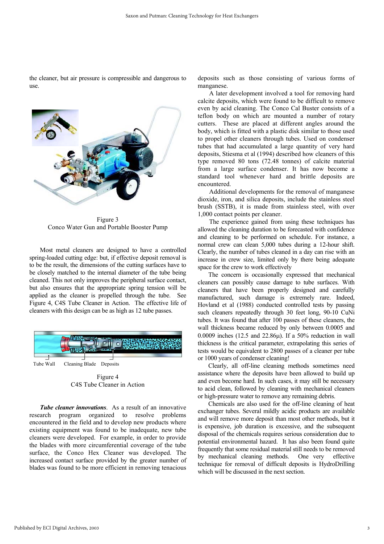the cleaner, but air pressure is compressible and dangerous to use.



Figure 3 Conco Water Gun and Portable Booster Pump

 Most metal cleaners are designed to have a controlled spring-loaded cutting edge: but, if effective deposit removal is to be the result, the dimensions of the cutting surfaces have to be closely matched to the internal diameter of the tube being cleaned. This not only improves the peripheral surface contact, but also ensures that the appropriate spring tension will be applied as the cleaner is propelled through the tube. See Figure 4, C4S Tube Cleaner in Action. The effective life of cleaners with this design can be as high as 12 tube passes.



Figure 4 C4S Tube Cleaner in Action

*Tube cleaner innovations.* As a result of an innovative research program organized to resolve problems encountered in the field and to develop new products where existing equipment was found to be inadequate, new tube cleaners were developed. For example, in order to provide the blades with more circumferential coverage of the tube surface, the Conco Hex Cleaner was developed. The increased contact surface provided by the greater number of blades was found to be more efficient in removing tenacious deposits such as those consisting of various forms of manganese.

 A later development involved a tool for removing hard calcite deposits, which were found to be difficult to remove even by acid cleaning. The Conco Cal Buster consists of a teflon body on which are mounted a number of rotary cutters. These are placed at different angles around the body, which is fitted with a plastic disk similar to those used to propel other cleaners through tubes. Used on condenser tubes that had accumulated a large quantity of very hard deposits, Stiesma et al (1994) described how cleaners of this type removed 80 tons (72.48 tonnes) of calcite material from a large surface condenser. It has now become a standard tool whenever hard and brittle deposits are encountered.

 Additional developments for the removal of manganese dioxide, iron, and silica deposits, include the stainless steel brush (SSTB), it is made from stainless steel, with over 1,000 contact points per cleaner.

 The experience gained from using these techniques has allowed the cleaning duration to be forecasted with confidence and cleaning to be performed on schedule. For instance, a normal crew can clean 5,000 tubes during a 12-hour shift. Clearly, the number of tubes cleaned in a day can rise with an increase in crew size, limited only by there being adequate space for the crew to work effectively

 The concern is occasionally expressed that mechanical cleaners can possibly cause damage to tube surfaces. With cleaners that have been properly designed and carefully manufactured, such damage is extremely rare. Indeed, Hovland et al (1988) conducted controlled tests by passing such cleaners repeatedly through 30 feet long, 90-10 CuNi tubes. It was found that after 100 passes of these cleaners, the wall thickness became reduced by only between 0.0005 and 0.0009 inches (12.5 and 22.86 $\mu$ ). If a 50% reduction in wall thickness is the critical parameter, extrapolating this series of tests would be equivalent to 2800 passes of a cleaner per tube or 1000 years of condenser cleaning!

 Clearly, all off-line cleaning methods sometimes need assistance where the deposits have been allowed to build up and even become hard. In such cases, it may still be necessary to acid clean, followed by cleaning with mechanical cleaners or high-pressure water to remove any remaining debris.

 Chemicals are also used for the off-line cleaning of heat exchanger tubes. Several mildly acidic products are available and will remove more deposit than most other methods, but it is expensive, job duration is excessive, and the subsequent disposal of the chemicals requires serious consideration due to potential environmental hazard. It has also been found quite frequently that some residual material still needs to be removed by mechanical cleaning methods. One very effective technique for removal of difficult deposits is HydroDrilling which will be discussed in the next section.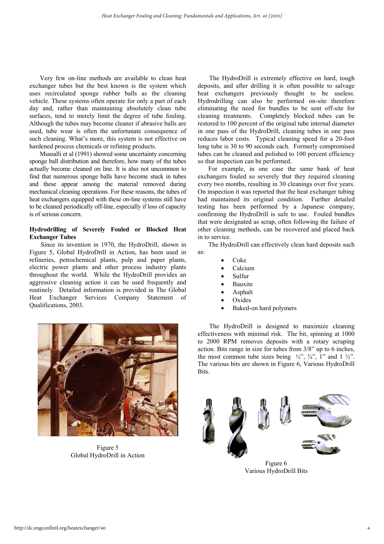Very few on-line methods are available to clean heat exchanger tubes but the best known is the system which uses recirculated sponge rubber balls as the cleaning vehicle. These systems often operate for only a part of each day and, rather than maintaining absolutely clean tube surfaces, tend to merely limit the degree of tube fouling. Although the tubes may become cleaner if abrasive balls are used, tube wear is often the unfortunate consequence of such cleaning. What's more, this system is not effective on hardened process chemicals or refining products.

 Mussalli et al (1991) showed some uncertainty concerning sponge ball distribution and therefore, how many of the tubes actually become cleaned on line. It is also not uncommon to find that numerous sponge balls have become stuck in tubes and these appear among the material removed during mechanical cleaning operations. For these reasons, the tubes of heat exchangers equipped with these on-line systems still have to be cleaned periodically off-line, especially if loss of capacity is of serious concern.

#### **Hydrodrilling of Severely Fouled or Blocked Heat Exchanger Tubes**

 Since its invention in 1970, the HydroDrill, shown in Figure 5, Global HydroDrill in Action, has been used in refineries, petrochemical plants, pulp and paper plants, electric power plants and other process industry plants throughout the world. While the HydroDrill provides an aggressive cleaning action it can be used frequently and routinely. Detailed information is provided in The Global Heat Exchanger Services Company Statement of Qualifications, 2003.



Figure 5 Global HydroDrill in Action

 The HydroDrill is extremely effective on hard, tough deposits, and after drilling it is often possible to salvage heat exchangers previously thought to be useless. Hydrodrilling can also be performed on-site therefore eliminating the need for bundles to be sent off-site for cleaning treatments. Completely blocked tubes can be restored to 100 percent of the original tube internal diameter in one pass of the HydroDrill, cleaning tubes in one pass reduces labor costs. Typical cleaning speed for a 20-foot long tube is 30 to 90 seconds each. Formerly compromised tubes can be cleaned and polished to 100 percent efficiency so that inspection can be performed.

 For example, in one case the same bank of heat exchangers fouled so severely that they required cleaning every two months, resulting in 30 cleanings over five years. On inspection it was reported that the heat exchanger tubing had maintained its original condition. Further detailed testing has been performed by a Japanese company, confirming the HydroDrill is safe to use. Fouled bundles that were designated as scrap, often following the failure of other cleaning methods, can be recovered and placed back in to service.

 The HydroDrill can effectively clean hard deposits such as:

- $C_0$ <sub>ke</sub>
- Calcium
- Sulfur
- **Bauxite**
- Asphalt
- Oxides
- Baked-on hard polymers

 The HydroDrill is designed to maximize cleaning effectiveness with minimal risk. The bit, spinning at 1000 to 2000 RPM removes deposits with a rotary scraping action. Bits range in size for tubes from 3/8" up to 6 inches, the most common tube sizes being  $\frac{1}{2}$ ,  $\frac{3}{4}$ ,  $\frac{1}{2}$  and  $\frac{1}{2}$ . The various bits are shown in Figure 6, Various HydroDrill Bits.



Figure 6 Various HydroDrill Bits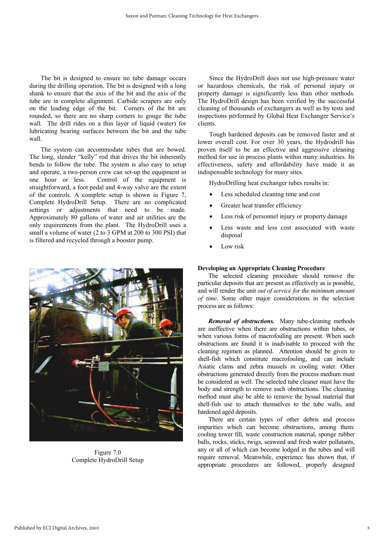The bit is designed to ensure no tube damage occurs during the drilling operation. The bit is designed with a long shank to ensure that the axis of the bit and the axis of the tube are in complete alignment. Carbide scrapers are only on the leading edge of the bit. Corners of the bit are rounded, so there are no sharp corners to gouge the tube wall. The drill rides on a thin layer of liquid (water) for lubricating bearing surfaces between the bit and the tube wall.

 The system can accommodate tubes that are bowed. The long, slender "kelly" rod that drives the bit inherently bends to follow the tube. The system is also easy to setup and operate, a two-person crew can set-up the equipment in one hour or less. Control of the equipment is straightforward, a foot pedal and 4-way valve are the extent of the controls. A complete setup is shown in Figure 7, Complete HydroDrill Setup. There are no complicated settings or adjustments that need to be made. Approximately 80 gallons of water and air utilities are the only requirements from the plant. The HydroDrill uses a small a volume of water (2 to 3 GPM at 200 to 300 PSI) that is filtered and recycled through a booster pump.



Figure 7.0 Complete HydroDrill Setup

 Since the HydroDrill does not use high-pressure water or hazardous chemicals, the risk of personal injury or property damage is significantly less than other methods. The HydroDrill design has been verified by the successful cleaning of thousands of exchangers as well as by tests and inspections performed by Global Heat Exchanger Service's clients.

 Tough hardened deposits can be removed faster and at lower overall cost. For over 30 years, the Hydrodrill has proven itself to be an effective and aggressive cleaning method for use in process plants within many industries. Its effectiveness, safety and affordability have made it an indispensable technology for many sites.

HydroDrilling heat exchanger tubes results in:

- Less scheduled cleaning time and cost
- Greater heat transfer efficiency
- Less risk of personnel injury or property damage
- Less waste and less cost associated with waste disposal
- Low risk

#### **Developing an Appropriate Cleaning Procedure**

 The selected cleaning procedure should remove the particular deposits that are present as effectively as is possible, and will render the unit *out of service for the minimum amount of time*. Some other major considerations in the selection process are as follows:

*Removal of obstructions.* Many tube-cleaning methods are ineffective when there are obstructions within tubes, or when various forms of macrofouling are present. When such obstructions are found it is inadvisable to proceed with the cleaning regimen as planned. Attention should be given to shell-fish which constitute macrofouling, and can include Asiatic clams and zebra mussels in cooling water. Other obstructions generated directly from the process medium must be considered as well. The selected tube cleaner must have the body and strength to remove such obstructions. The cleaning method must also be able to remove the byssal material that shell-fish use to attach themselves to the tube walls, and hardened aged deposits.

 There are certain types of other debris and process impurities which can become obstructions, among them: cooling tower fill, waste construction material, sponge rubber balls, rocks, sticks, twigs, seaweed and fresh water pollutants, any or all of which can become lodged in the tubes and will require removal. Meanwhile, experience has shown that, if appropriate procedures are followed, properly designed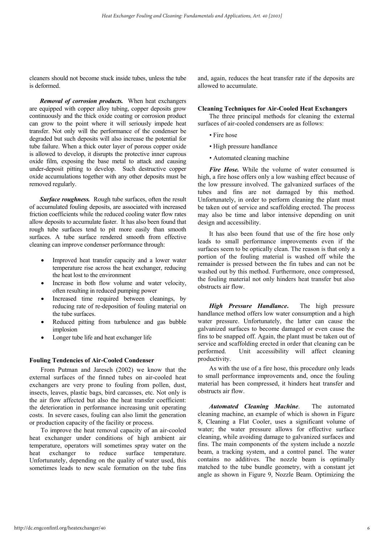cleaners should not become stuck inside tubes, unless the tube is deformed.

 *Removal of corrosion products.* When heat exchangers are equipped with copper alloy tubing, copper deposits grow continuously and the thick oxide coating or corrosion product can grow to the point where it will seriously impede heat transfer. Not only will the performance of the condenser be degraded but such deposits will also increase the potential for tube failure. When a thick outer layer of porous copper oxide is allowed to develop, it disrupts the protective inner cuprous oxide film, exposing the base metal to attack and causing under-deposit pitting to develop. Such destructive copper oxide accumulations together with any other deposits must be removed regularly.

 *Surface roughness.* Rough tube surfaces, often the result of accumulated fouling deposits, are associated with increased friction coefficients while the reduced cooling water flow rates allow deposits to accumulate faster. It has also been found that rough tube surfaces tend to pit more easily than smooth surfaces. A tube surface rendered smooth from effective cleaning can improve condenser performance through:

- Improved heat transfer capacity and a lower water temperature rise across the heat exchanger, reducing the heat lost to the environment
- Increase in both flow volume and water velocity, often resulting in reduced pumping power
- Increased time required between cleanings, by reducing rate of re-deposition of fouling material on the tube surfaces.
- Reduced pitting from turbulence and gas bubble implosion
- Longer tube life and heat exchanger life

#### **Fouling Tendencies of Air-Cooled Condenser**

 From Putman and Jaresch (2002) we know that the external surfaces of the finned tubes on air-cooled heat exchangers are very prone to fouling from pollen, dust, insects, leaves, plastic bags, bird carcasses, etc. Not only is the air flow affected but also the heat transfer coefficient: the deterioration in performance increasing unit operating costs. In severe cases, fouling can also limit the generation or production capacity of the facility or process.

 To improve the heat removal capacity of an air-cooled heat exchanger under conditions of high ambient air temperature, operators will sometimes spray water on the heat exchanger to reduce surface temperature. Unfortunately, depending on the quality of water used, this sometimes leads to new scale formation on the tube fins and, again, reduces the heat transfer rate if the deposits are allowed to accumulate.

#### **Cleaning Techniques for Air-Cooled Heat Exchangers**

 The three principal methods for cleaning the external surfaces of air-cooled condensers are as follows:

- Fire hose
- High pressure handlance
- Automated cleaning machine

Fire Hose. While the volume of water consumed is high, a fire hose offers only a low washing effect because of the low pressure involved. The galvanized surfaces of the tubes and fins are not damaged by this method. Unfortunately, in order to perform cleaning the plant must be taken out of service and scaffolding erected. The process may also be time and labor intensive depending on unit design and accessibility.

 It has also been found that use of the fire hose only leads to small performance improvements even if the surfaces seem to be optically clean. The reason is that only a portion of the fouling material is washed off while the remainder is pressed between the fin tubes and can not be washed out by this method. Furthermore, once compressed, the fouling material not only hinders heat transfer but also obstructs air flow.

*High Pressure Handlance*. The high pressure handlance method offers low water consumption and a high water pressure. Unfortunately, the latter can cause the galvanized surfaces to become damaged or even cause the fins to be snapped off. Again, the plant must be taken out of service and scaffolding erected in order that cleaning can be performed. Unit accessibility will affect cleaning productivity.

 As with the use of a fire hose, this procedure only leads to small performance improvements and, once the fouling material has been compressed, it hinders heat transfer and obstructs air flow.

 *Automated Cleaning Machine*. The automated cleaning machine, an example of which is shown in Figure 8, Cleaning a Flat Cooler, uses a significant volume of water; the water pressure allows for effective surface cleaning, while avoiding damage to galvanized surfaces and fins. The main components of the system include a nozzle beam, a tracking system, and a control panel. The water contains no additives. The nozzle beam is optimally matched to the tube bundle geometry, with a constant jet angle as shown in Figure 9, Nozzle Beam. Optimizing the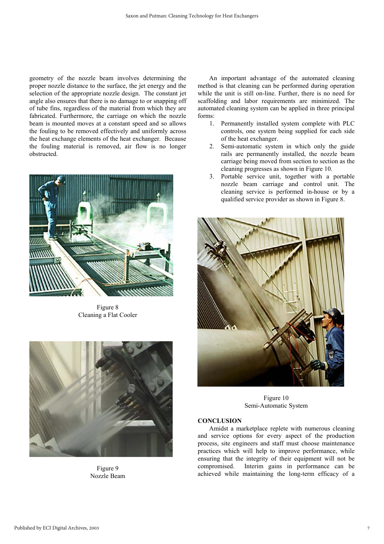geometry of the nozzle beam involves determining the proper nozzle distance to the surface, the jet energy and the selection of the appropriate nozzle design. The constant jet angle also ensures that there is no damage to or snapping off of tube fins, regardless of the material from which they are fabricated. Furthermore, the carriage on which the nozzle beam is mounted moves at a constant speed and so allows the fouling to be removed effectively and uniformly across the heat exchange elements of the heat exchanger. Because the fouling material is removed, air flow is no longer obstructed.



Figure 8 Cleaning a Flat Cooler



Figure 9 Nozzle Beam

 An important advantage of the automated cleaning method is that cleaning can be performed during operation while the unit is still on-line. Further, there is no need for scaffolding and labor requirements are minimized. The automated cleaning system can be applied in three principal forms:

- 1. Permanently installed system complete with PLC controls, one system being supplied for each side of the heat exchanger.
- 2. Semi-automatic system in which only the guide rails are permanently installed, the nozzle beam carriage being moved from section to section as the cleaning progresses as shown in Figure 10.
- 3. Portable service unit, together with a portable nozzle beam carriage and control unit. The cleaning service is performed in-house or by a qualified service provider as shown in Figure 8.



Figure 10 Semi-Automatic System

#### **CONCLUSION**

 Amidst a marketplace replete with numerous cleaning and service options for every aspect of the production process, site engineers and staff must choose maintenance practices which will help to improve performance, while ensuring that the integrity of their equipment will not be compromised. Interim gains in performance can be achieved while maintaining the long-term efficacy of a